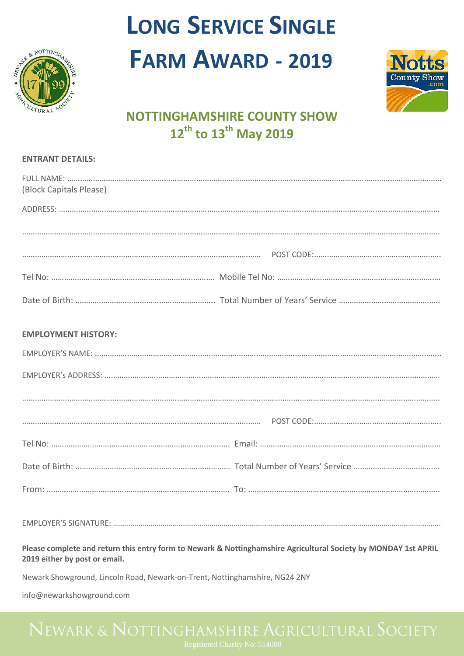

# **LONG SERVICE SINGLE FARM AWARD - 2019**



## **NOTTINGHAMSHIRE COUNTY SHOW 12th to 13th May 2019**

### **ENTRANT DETAILS:**

| (Block Capitals Please) |  |
|-------------------------|--|
|                         |  |
|                         |  |
|                         |  |
|                         |  |

### **EMPLOYMENT HISTORY:**

EMPLOYER'S SIGNATURE: ………………………………………………………………………………………………………………………………………………….

### **Please complete and return this entry form to Newark & Nottinghamshire Agricultural Society by MONDAY 1st APRIL 2019 either by post or email.**

Newark Showground, Lincoln Road, Newark-on-Trent, Nottinghamshire, NG24 2NY

info@newarkshowground.com

Registered Charity No: 514080